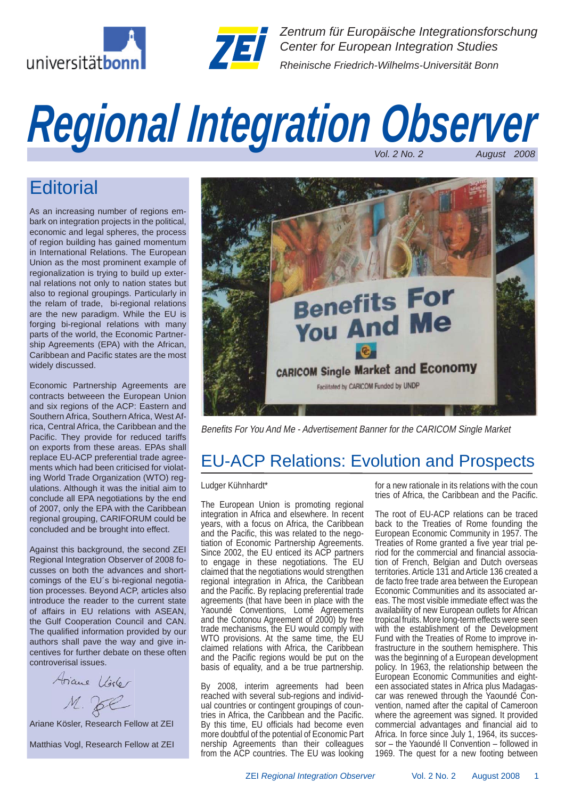



*Zentrum für Europäische Integrationsforschung Center for European Integration Studies Rheinische Friedrich-Wilhelms-Universität Bonn*

# *Regional Integration Observer Vol. 2 No. 2 August 2008*

# **Editorial**

As an increasing number of regions embark on integration projects in the political, economic and legal spheres, the process of region building has gained momentum in International Relations. The European Union as the most prominent example of regionalization is trying to build up external relations not only to nation states but also to regional groupings. Particularly in the relam of trade, bi-regional relations are the new paradigm. While the EU is forging bi-regional relations with many parts of the world, the Economic Partnership Agreements (EPA) with the African, Caribbean and Pacific states are the most widely discussed.

Economic Partnership Agreements are contracts betweeen the European Union and six regions of the ACP: Eastern and Southern Africa, Southern Africa, West Africa, Central Africa, the Caribbean and the Pacific. They provide for reduced tariffs on exports from these areas. EPAs shall replace EU-ACP preferential trade agreements which had been criticised for violating World Trade Organization (WTO) regulations. Although it was the initial aim to conclude all EPA negotiations by the end of 2007, only the EPA with the Caribbean regional grouping, CARIFORUM could be concluded and be brought into effect.

Against this background, the second ZEI Regional Integration Observer of 2008 focusses on both the advances and shortcomings of the EU´s bi-regional negotiation processes. Beyond ACP, articles also introduce the reader to the current state of affairs in EU relations with ASEAN, the Gulf Cooperation Council and CAN. The qualified information provided by our authors shall pave the way and give incentives for further debate on these often controverisal issues.

Ariane Violer  $M.$  Jee

Ariane Kösler, Research Fellow at ZEI

Matthias Vogl, Research Fellow at ZEI



Benefits For You And Me - Advertisement Banner for the CARICOM Single Market

## EU-ACP Relations: Evolution and Prospects

#### Ludger Kühnhardt\*

The European Union is promoting regional integration in Africa and elsewhere. In recent years, with a focus on Africa, the Caribbean and the Pacific, this was related to the negotiation of Economic Partnership Agreements. Since 2002, the EU enticed its ACP partners to engage in these negotiations. The EU claimed that the negotiations would strengthen regional integration in Africa, the Caribbean and the Pacific. By replacing preferential trade agreements (that have been in place with the Yaoundé Conventions, Lomé Agreements and the Cotonou Agreement of 2000) by free trade mechanisms, the EU would comply with WTO provisions. At the same time, the EU claimed relations with Africa, the Caribbean and the Pacific regions would be put on the basis of equality, and a be true partnership.

By 2008, interim agreements had been reached with several sub-regions and individual countries or contingent groupings of countries in Africa, the Caribbean and the Pacific. By this time, EU officials had become even more doubtful of the potential of Economic Part nership Agreements than their colleagues from the ACP countries. The EU was looking for a new rationale in its relations with the coun tries of Africa, the Caribbean and the Pacific.

The root of EU-ACP relations can be traced back to the Treaties of Rome founding the European Economic Community in 1957. The Treaties of Rome granted a five year trial period for the commercial and financial association of French, Belgian and Dutch overseas territories. Article 131 and Article 136 created a de facto free trade area between the European Economic Communities and its associated areas. The most visible immediate effect was the availability of new European outlets for African tropical fruits. More long-term effects were seen with the establishment of the Development Fund with the Treaties of Rome to improve infrastructure in the southern hemisphere. This was the beginning of a European development policy. In 1963, the relationship between the European Economic Communities and eighteen associated states in Africa plus Madagascar was renewed through the Yaoundé Convention, named after the capital of Cameroon where the agreement was signed. It provided commercial advantages and financial aid to Africa. In force since July 1, 1964, its successor – the Yaoundé II Convention – followed in 1969. The quest for a new footing between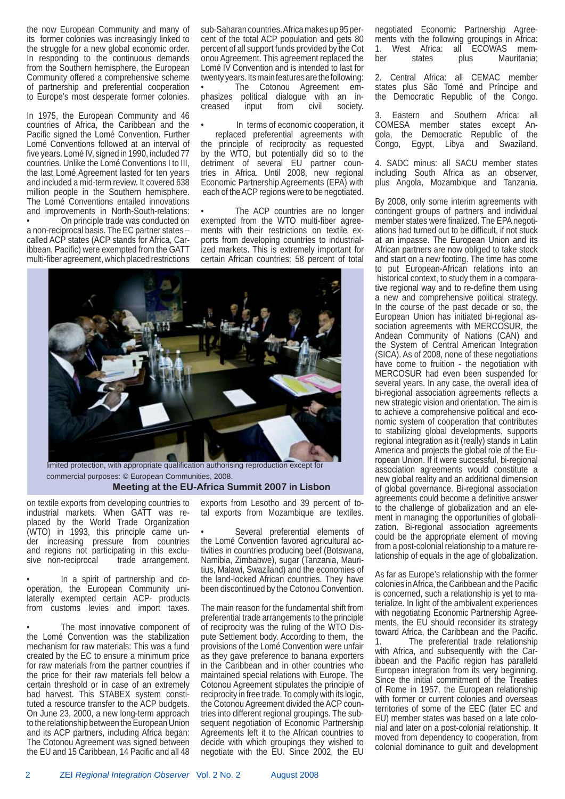the now European Community and many of its former colonies was increasingly linked to the struggle for a new global economic order. In responding to the continuous demands from the Southern hemisphere, the European Community offered a comprehensive scheme of partnership and preferential cooperation to Europe's most desperate former colonies.

In 1975, the European Community and 46 countries of Africa, the Caribbean and the Pacific signed the Lomé Convention. Further Lomé Conventions followed at an interval of five years. Lomé IV, signed in 1990, included 77 countries. Unlike the Lomé Conventions I to III, the last Lomé Agreement lasted for ten years and included a mid-term review. It covered 638 million people in the Southern hemisphere. The Lomé Conventions entailed innovations and improvements in North-South-relations: • On principle trade was conducted on a non-reciprocal basis. The EC partner states – called ACP states (ACP stands for Africa, Caribbean, Pacific) were exempted from the GATT multi-fiber agreement, which placed restrictions

sub-Saharan countries. Africa makes up 95 percent of the total ACP population and gets 80 percent of all support funds provided by the Cot onou Agreement. This agreement replaced the Lomé IV Convention and is intended to last for twenty years. Its main features are the following:

The Cotonou Agreement emphasizes political dialogue with an increased input from civil society.

In terms of economic cooperation, it replaced preferential agreements with the principle of reciprocity as requested by the WTO, but potentially did so to the detriment of several EU partner countries in Africa. Until 2008, new regional Economic Partnership Agreements (EPA) with each of the ACP regions were to be negotiated.

The ACP countries are no longer exempted from the WTO multi-fiber agreements with their restrictions on textile exports from developing countries to industrialized markets. This is extremely important for certain African countries: 58 percent of total



 commercial purposes: © European Communities, 2008.  **Meeting at the EU-Africa Summit 2007 in Lisbon**

on textile exports from developing countries to industrial markets. When GATT was replaced by the World Trade Organization (WTO) in 1993, this principle came under increasing pressure from countries and regions not participating in this exclusive non-reciprocal trade arrangement.

• In a spirit of partnership and cooperation, the European Community unilaterally exempted certain ACP- products from customs levies and import taxes.

The most innovative component of the Lomé Convention was the stabilization mechanism for raw materials: This was a fund created by the EC to ensure a minimum price for raw materials from the partner countries if the price for their raw materials fell below a certain threshold or in case of an extremely bad harvest. This STABEX system constituted a resource transfer to the ACP budgets. On June 23, 2000, a new long-term approach to the relationship between the European Union and its ACP partners, including Africa began: The Cotonou Agreement was signed between the EU and 15 Caribbean, 14 Pacific and all 48 exports from Lesotho and 39 percent of total exports from Mozambique are textiles.

Several preferential elements of the Lomé Convention favored agricultural activities in countries producing beef (Botswana, Namibia, Zimbabwe), sugar (Tanzania, Mauritius, Malawi, Swaziland) and the economies of the land-locked African countries. They have been discontinued by the Cotonou Convention.

The main reason for the fundamental shift from preferential trade arrangements to the principle of reciprocity was the ruling of the WTO Dispute Settlement body. According to them, the provisions of the Lomé Convention were unfair as they gave preference to banana exporters in the Caribbean and in other countries who maintained special relations with Europe. The Cotonou Agreement stipulates the principle of reciprocity in free trade. To comply with its logic, the Cotonou Agreement divided the ACP countries into different regional groupings. The subsequent negotiation of Economic Partnership Agreements left it to the African countries to decide with which groupings they wished to negotiate with the EU. Since 2002, the EU negotiated Economic Partnership Agreements with the following groupings in Africa: 1. West Africa: all ECOWAS member states plus Mauritania;

2. Central Africa: all CEMAC member states plus São Tomé and Príncipe and the Democratic Republic of the Congo.

Eastern and Southern Africa: all COMESA member states except Angola, the Democratic Republic of the Congo, Egypt, Libya and Swaziland.

4. SADC minus: all SACU member states including South Africa as an observer, plus Angola, Mozambique and Tanzania.

By 2008, only some interim agreements with contingent groups of partners and individual member states were finalized. The EPA negotiations had turned out to be difficult, if not stuck at an impasse. The European Union and its African partners are now obliged to take stock and start on a new footing. The time has come to put European-African relations into an historical context, to study them in a comparative regional way and to re-define them using a new and comprehensive political strategy. In the course of the past decade or so, the European Union has initiated bi-regional association agreements with MERCOSUR, the Andean Community of Nations (CAN) and the System of Central American Integration (SICA). As of 2008, none of these negotiations have come to fruition - the negotiation with MERCOSUR had even been suspended for several years. In any case, the overall idea of bi-regional association agreements reflects a new strategic vision and orientation. The aim is to achieve a comprehensive political and economic system of cooperation that contributes to stabilizing global developments, supports regional integration as it (really) stands in Latin America and projects the global role of the European Union. If it were successful, bi-regional association agreements would constitute a new global reality and an additional dimension of global governance. Bi-regional association agreements could become a definitive answer to the challenge of globalization and an element in managing the opportunities of globalization. Bi-regional association agreements could be the appropriate element of moving from a post-colonial relationship to a mature relationship of equals in the age of globalization.

As far as Europe's relationship with the former colonies in Africa, the Caribbean and the Pacific is concerned, such a relationship is yet to materialize. In light of the ambivalent experiences with negotiating Economic Partnership Agreements, the EU should reconsider its strategy toward Africa, the Caribbean and the Pacific. 1. The preferential trade relationship with Africa, and subsequently with the Caribbean and the Pacific region has paralleld European integration from its very beginning. Since the initial commitment of the Treaties of Rome in 1957, the European relationship with former or current colonies and overseas territories of some of the EEC (later EC and EU) member states was based on a late colonial and later on a post-colonial relationship. It moved from dependency to cooperation, from colonial dominance to guilt and development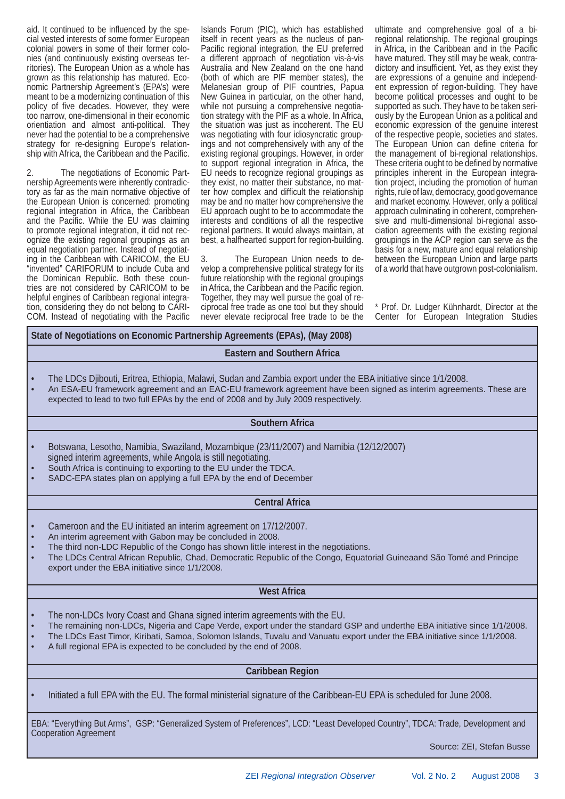aid. It continued to be influenced by the special vested interests of some former European colonial powers in some of their former colonies (and continuously existing overseas territories). The European Union as a whole has grown as this relationship has matured. Economic Partnership Agreement's (EPA's) were meant to be a modernizing continuation of this policy of five decades. However, they were too narrow, one-dimensional in their economic orientiation and almost anti-political. They never had the potential to be a comprehensive strategy for re-designing Europe's relationship with Africa, the Caribbean and the Pacific.

2. The negotiations of Economic Partnership Agreements were inherently contradictory as far as the main normative objective of the European Union is concerned: promoting regional integration in Africa, the Caribbean and the Pacific. While the EU was claiming to promote regional integration, it did not recognize the existing regional groupings as an equal negotiation partner. Instead of negotiating in the Caribbean with CARICOM, the EU "invented" CARIFORUM to include Cuba and the Dominican Republic. Both these countries are not considered by CARICOM to be helpful engines of Caribbean regional integration, considering they do not belong to CARI-COM. Instead of negotiating with the Pacific Islands Forum (PIC), which has established itself in recent years as the nucleus of pan-Pacific regional integration, the EU preferred a different approach of negotiation vis-à-vis Australia and New Zealand on the one hand (both of which are PIF member states), the Melanesian group of PIF countries, Papua New Guinea in particular, on the other hand, while not pursuing a comprehensive negotiation strategy with the PIF as a whole. In Africa, the situation was just as incoherent. The EU was negotiating with four idiosyncratic groupings and not comprehensively with any of the existing regional groupings. However, in order to support regional integration in Africa, the EU needs to recognize regional groupings as they exist, no matter their substance, no matter how complex and difficult the relationship may be and no matter how comprehensive the EU approach ought to be to accommodate the interests and conditions of all the respective regional partners. It would always maintain, at best, a halfhearted support for region-building.

The European Union needs to develop a comprehensive political strategy for its future relationship with the regional groupings in Africa, the Caribbean and the Pacific region. Together, they may well pursue the goal of reciprocal free trade as one tool but they should never elevate reciprocal free trade to be the ultimate and comprehensive goal of a biregional relationship. The regional groupings in Africa, in the Caribbean and in the Pacific have matured. They still may be weak, contradictory and insufficient. Yet, as they exist they are expressions of a genuine and independent expression of region-building. They have become political processes and ought to be supported as such. They have to be taken seriously by the European Union as a political and economic expression of the genuine interest of the respective people, societies and states. The European Union can define criteria for the management of bi-regional relationships. These criteria ought to be defined by normative principles inherent in the European integration project, including the promotion of human rights, rule of law, democracy, good governance and market economy. However, only a political approach culminating in coherent, comprehensive and multi-dimensional bi-regional association agreements with the existing regional groupings in the ACP region can serve as the basis for a new, mature and equal relationship between the European Union and large parts of a world that have outgrown post-colonialism.

\* Prof. Dr. Ludger Kühnhardt, Director at the Center for European Integration Studies

#### **State of Negotiations on Economic Partnership Agreements (EPAs), (May 2008)**

#### **Eastern and Southern Africa**

- The LDCs Djibouti, Eritrea, Ethiopia, Malawi, Sudan and Zambia export under the EBA initiative since 1/1/2008.
- An ESA-EU framework agreement and an EAC-EU framework agreement have been signed as interim agreements. These are expected to lead to two full EPAs by the end of 2008 and by July 2009 respectively.

#### **Southern Africa**

- Botswana, Lesotho, Namibia, Swaziland, Mozambique (23/11/2007) and Namibia (12/12/2007) signed interim agreements, while Angola is still negotiating.
- South Africa is continuing to exporting to the EU under the TDCA.
- SADC-EPA states plan on applying a full EPA by the end of December

#### **Central Africa**

- Cameroon and the EU initiated an interim agreement on 17/12/2007.
- An interim agreement with Gabon may be concluded in 2008.
- The third non-LDC Republic of the Congo has shown little interest in the negotiations.
- The LDCs Central African Republic, Chad, Democratic Republic of the Congo, Equatorial Guineaand São Tomé and Principe export under the EBA initiative since 1/1/2008.

#### **West Africa**

- The non-LDCs Ivory Coast and Ghana signed interim agreements with the EU.
- The remaining non-LDCs, Nigeria and Cape Verde, export under the standard GSP and underthe EBA initiative since 1/1/2008.
- The LDCs East Timor, Kiribati, Samoa, Solomon Islands, Tuvalu and Vanuatu export under the EBA initiative since 1/1/2008.
- A full regional EPA is expected to be concluded by the end of 2008.

#### **Caribbean Region**

• Initiated a full EPA with the EU. The formal ministerial signature of the Caribbean-EU EPA is scheduled for June 2008.

EBA: "Everything But Arms", GSP: "Generalized System of Preferences", LCD: "Least Developed Country", TDCA: Trade, Development and Cooperation Agreement

Source: ZEI, Stefan Busse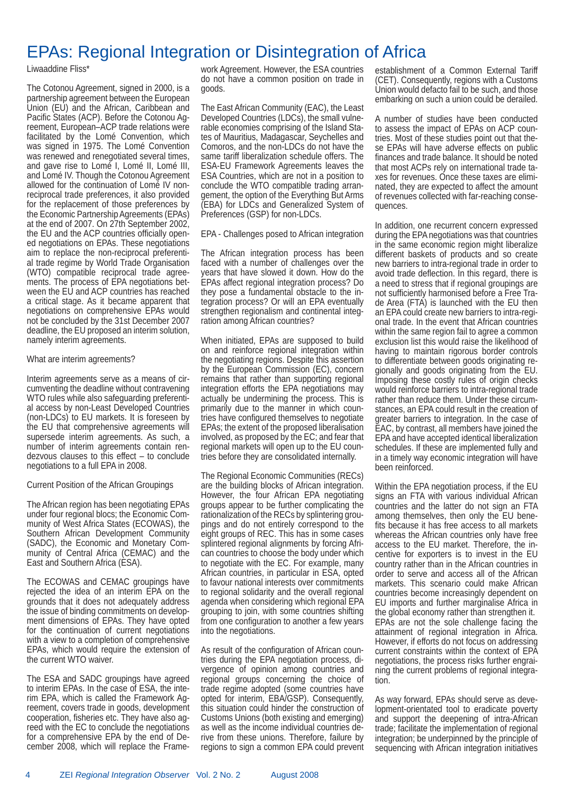## EPAs: Regional Integration or Disintegration of Africa

#### Liwaaddine Fliss\*

The Cotonou Agreement, signed in 2000, is a partnership agreement between the European Union (EU) and the African, Caribbean and Pacific States (ACP). Before the Cotonou Agreement, European–ACP trade relations were facilitated by the Lomé Convention, which was signed in 1975. The Lomé Convention was renewed and renegotiated several times, and gave rise to Lomé I, Lomé II, Lomé III, and Lomé IV. Though the Cotonou Agreement allowed for the continuation of Lomé IV nonreciprocal trade preferences, it also provided for the replacement of those preferences by the Economic Partnership Agreements (EPAs) at the end of 2007. On 27th September 2002, the EU and the ACP countries officially opened negotiations on EPAs. These negotiations aim to replace the non-reciprocal preferential trade regime by World Trade Organisation (WTO) compatible reciprocal trade agreements. The process of EPA negotiations between the EU and ACP countries has reached a critical stage. As it became apparent that negotiations on comprehensive EPAs would not be concluded by the 31st December 2007 deadline, the EU proposed an interim solution, namely interim agreements.

#### What are interim agreements?

Interim agreements serve as a means of circumventing the deadline without contravening WTO rules while also safeguarding preferential access by non-Least Developed Countries (non-LDCs) to EU markets. It is foreseen by the EU that comprehensive agreements will supersede interim agreements. As such, a number of interim agreements contain rendezvous clauses to this effect – to conclude negotiations to a full EPA in 2008.

#### Current Position of the African Groupings

The African region has been negotiating EPAs under four regional blocs; the Economic Community of West Africa States (ECOWAS), the Southern African Development Community (SADC), the Economic and Monetary Community of Central Africa (CEMAC) and the East and Southern Africa (ESA).

The ECOWAS and CEMAC groupings have rejected the idea of an interim EPA on the grounds that it does not adequately address the issue of binding commitments on development dimensions of EPAs. They have opted for the continuation of current negotiations with a view to a completion of comprehensive EPAs, which would require the extension of the current WTO waiver.

The ESA and SADC groupings have agreed to interim EPAs. In the case of ESA, the interim EPA, which is called the Framework Agreement, covers trade in goods, development cooperation, fisheries etc. They have also agreed with the EC to conclude the negotiations for a comprehensive EPA by the end of December 2008, which will replace the Framework Agreement. However, the ESA countries do not have a common position on trade in goods.

The East African Community (EAC), the Least Developed Countries (LDCs), the small vulnerable economies comprising of the Island States of Mauritius, Madagascar, Seychelles and Comoros, and the non-LDCs do not have the same tariff liberalization schedule offers. The ESA-EU Framework Agreements leaves the ESA Countries, which are not in a position to conclude the WTO compatible trading arrangement, the option of the Everything But Arms (EBA) for LDCs and Generalized System of Preferences (GSP) for non-LDCs.

EPA - Challenges posed to African integration

The African integration process has been faced with a number of challenges over the years that have slowed it down. How do the EPAs affect regional integration process? Do they pose a fundamental obstacle to the integration process? Or will an EPA eventually strengthen regionalism and continental integration among African countries?

When initiated, EPAs are supposed to build on and reinforce regional integration within the negotiating regions. Despite this assertion by the European Commission (EC), concern remains that rather than supporting regional integration efforts the EPA negotiations may actually be undermining the process. This is primarily due to the manner in which countries have configured themselves to negotiate EPAs; the extent of the proposed liberalisation involved, as proposed by the EC; and fear that regional markets will open up to the EU countries before they are consolidated internally.

The Regional Economic Communities (RECs) are the building blocks of African integration. However, the four African EPA negotiating groups appear to be further complicating the rationalization of the RECs by splintering groupings and do not entirely correspond to the eight groups of REC. This has in some cases splintered regional alignments by forcing African countries to choose the body under which to negotiate with the EC. For example, many African countries, in particular in ESA, opted to favour national interests over commitments to regional solidarity and the overall regional agenda when considering which regional EPA grouping to join, with some countries shifting from one configuration to another a few years into the negotiations.

As result of the configuration of African countries during the EPA negotiation process, divergence of opinion among countries and regional groups concerning the choice of trade regime adopted (some countries have opted for interim, EBA/GSP). Consequently, this situation could hinder the construction of Customs Unions (both existing and emerging) as well as the income individual countries derive from these unions. Therefore, failure by regions to sign a common EPA could prevent establishment of a Common External Tariff (CET). Consequently, regions with a Customs Union would defacto fail to be such, and those embarking on such a union could be derailed.

A number of studies have been conducted to assess the impact of EPAs on ACP countries. Most of these studies point out that these EPAs will have adverse effects on public finances and trade balance. It should be noted that most ACPs rely on international trade taxes for revenues. Once these taxes are eliminated, they are expected to affect the amount of revenues collected with far-reaching consequences.

In addition, one recurrent concern expressed during the EPA negotiations was that countries in the same economic region might liberalize different baskets of products and so create new barriers to intra-regional trade in order to avoid trade deflection. In this regard, there is a need to stress that if regional groupings are not sufficiently harmonised before a Free Trade Area (FTA) is launched with the EU then an EPA could create new barriers to intra-regional trade. In the event that African countries within the same region fail to agree a common exclusion list this would raise the likelihood of having to maintain rigorous border controls to differentiate between goods originating regionally and goods originating from the EU. Imposing these costly rules of origin checks would reinforce barriers to intra-regional trade rather than reduce them. Under these circumstances, an EPA could result in the creation of greater barriers to integration. In the case of EAC, by contrast, all members have joined the EPA and have accepted identical liberalization schedules. If these are implemented fully and in a timely way economic integration will have been reinforced.

Within the EPA negotiation process, if the EU signs an FTA with various individual African countries and the latter do not sign an FTA among themselves, then only the EU benefits because it has free access to all markets whereas the African countries only have free access to the EU market. Therefore, the incentive for exporters is to invest in the EU country rather than in the African countries in order to serve and access all of the African markets. This scenario could make African countries become increasingly dependent on EU imports and further marginalise Africa in the global economy rather than strengthen it. EPAs are not the sole challenge facing the attainment of regional integration in Africa. However, if efforts do not focus on addressing current constraints within the context of EPA negotiations, the process risks further engraining the current problems of regional integration.

As way forward, EPAs should serve as development-orientated tool to eradicate poverty and support the deepening of intra-African trade; facilitate the implementation of regional integration; be underpinned by the principle of sequencing with African integration initiatives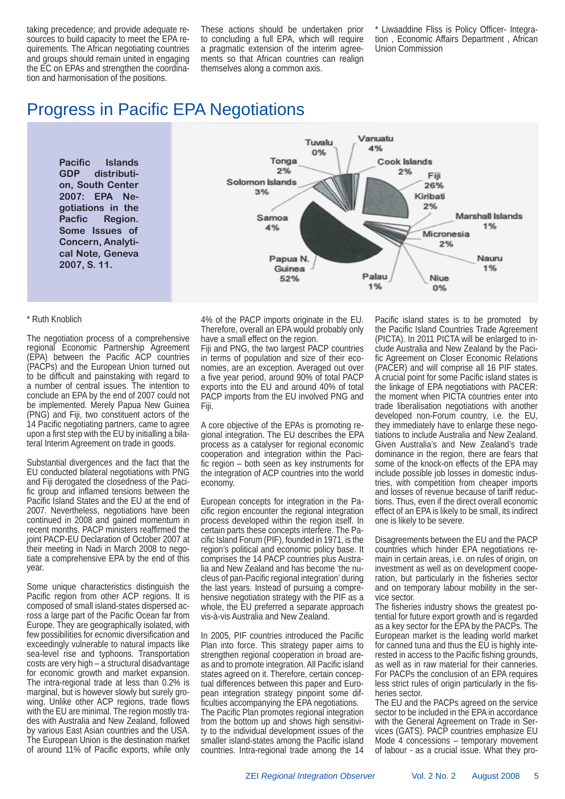taking precedence; and provide adequate resources to build capacity to meet the EPA requirements. The African negotiating countries and groups should remain united in engaging the EC on EPAs and strengthen the coordination and harmonisation of the positions.

These actions should be undertaken prior to concluding a full EPA, which will require a pragmatic extension of the interim agreements so that African countries can realign themselves along a common axis.

Liwaaddine Fliss is Policy Officer- Integration , Economic Affairs Department , African Union Commission

## Progress in Pacific EPA Negotiations

**Pacific Islands GDP distribution, South Center 2007: EPA Negotiations in the Pacfic Region. Some Issues of Concern, Analytical Note, Geneva 2007, S. 11.**



#### \* Ruth Knoblich

The negotiation process of a comprehensive regional Economic Partnership Agreement (EPA) between the Pacific ACP countries (PACPs) and the European Union turned out to be difficult and painstaking with regard to a number of central issues. The intention to conclude an EPA by the end of 2007 could not be implemented. Merely Papua New Guinea (PNG) and Fiji, two constituent actors of the 14 Pacific negotiating partners, came to agree upon a first step with the EU by initialling a bilateral Interim Agreement on trade in goods.

Substantial divergences and the fact that the EU conducted bilateral negotiations with PNG and Fiji derogated the closedness of the Pacific group and inflamed tensions between the Pacific Island States and the EU at the end of 2007. Nevertheless, negotiations have been continued in 2008 and gained momentum in recent months. PACP ministers reaffirmed the joint PACP-EU Declaration of October 2007 at their meeting in Nadi in March 2008 to negotiate a comprehensive EPA by the end of this year.

Some unique characteristics distinguish the Pacific region from other ACP regions. It is composed of small island-states dispersed across a large part of the Pacific Ocean far from Europe. They are geographically isolated, with few possibilities for ecnomic diversification and exceedingly vulnerable to natural impacts like sea-level rise and typhoons. Transportation costs are very high – a structural disadvantage for economic growth and market expansion. The intra-regional trade at less than 0.2% is marginal, but is however slowly but surely growing. Unlike other ACP regions, trade flows with the EU are minimal. The region mostly trades with Australia and New Zealand, followed by various East Asian countries and the USA. The European Union is the destination market of around 11% of Pacific exports, while only

4% of the PACP imports originate in the EU. Therefore, overall an EPA would probably only have a small effect on the region.

Fiji and PNG, the two largest PACP countries in terms of population and size of their economies, are an exception. Averaged out over a five year period, around 90% of total PACP exports into the EU and around 40% of total PACP imports from the EU involved PNG and Fiji.

A core objective of the EPAs is promoting regional integration. The EU describes the EPA process as a catalyser for regional economic cooperation and integration within the Pacific region  $-$  both seen as key instruments for the integration of ACP countries into the world economy.

European concepts for integration in the Pacific region encounter the regional integration process developed within the region itself. In certain parts these concepts interfere. The Pacific Island Forum (PIF), founded in 1971, is the region's political and economic policy base. It comprises the 14 PACP countries plus Australia and New Zealand and has become 'the nucleus of pan-Pacific regional integration' during the last years. Instead of pursuing a comprehensive negotiation strategy with the PIF as a whole, the EU preferred a separate approach vis-à-vis Australia and New Zealand.

In 2005, PIF countries introduced the Pacific Plan into force. This strategy paper aims to strengthen regional cooperation in broad areas and to promote integration. All Pacific island states agreed on it. Therefore, certain conceptual differences between this paper and European integration strategy pinpoint some difficulties accompanying the EPA negotiations. The Pacific Plan promotes regional integration from the bottom up and shows high sensitivity to the individual development issues of the smaller island-states among the Pacific island countries. Intra-regional trade among the 14

Pacific island states is to be promoted by the Pacific Island Countries Trade Agreement (PICTA). In 2011 PICTA will be enlarged to include Australia and New Zealand by the Pacific Agreement on Closer Economic Relations (PACER) and will comprise all 16 PIF states. A crucial point for some Pacific island states is the linkage of EPA negotiations with PACER: the moment when PICTA countries enter into trade liberalisation negotiations with another developed non-Forum country, i.e. the EU, they immediately have to enlarge these negotiations to include Australia and New Zealand. Given Australia's and New Zealand's trade dominance in the region, there are fears that some of the knock-on effects of the EPA may include possible job losses in domestic industries, with competition from cheaper imports and losses of revenue because of tariff reductions. Thus, even if the direct overall economic effect of an EPA is likely to be small, its indirect one is likely to be severe.

Disagreements between the EU and the PACP countries which hinder EPA negotiations remain in certain areas, i.e. on rules of origin, on investment as well as on development cooperation, but particularly in the fisheries sector and on temporary labour mobility in the service sector.

The fisheries industry shows the greatest potential for future export growth and is regarded as a key sector for the EPA by the PACPs. The European market is the leading world market for canned tuna and thus the EU is highly interested in access to the Pacific fishing grounds, as well as in raw material for their canneries. For PACPs the conclusion of an EPA requires less strict rules of origin particularly in the fisheries sector.

The EU and the PACPs agreed on the service sector to be included in the EPA in accordance with the General Agreement on Trade in Services (GATS). PACP countries emphasize EU Mode 4 concessions – temporary movement of labour - as a crucial issue. What they pro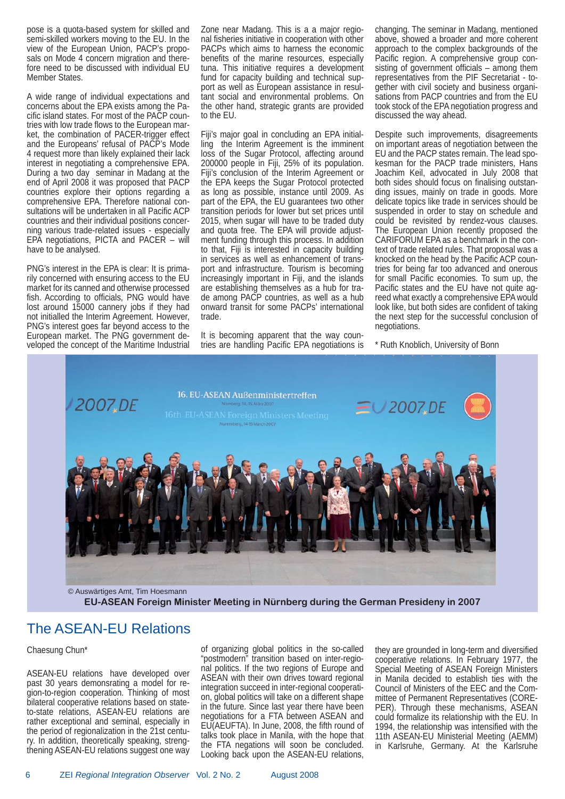pose is a quota-based system for skilled and semi-skilled workers moving to the EU. In the view of the European Union, PACP's proposals on Mode 4 concern migration and therefore need to be discussed with individual EU Member States.

A wide range of individual expectations and concerns about the EPA exists among the Pacific island states. For most of the PACP countries with low trade flows to the European market, the combination of PACER-trigger effect and the Europeans' refusal of PACP's Mode 4 request more than likely explained their lack interest in negotiating a comprehensive EPA. During a two day seminar in Madang at the end of April 2008 it was proposed that PACP countries explore their options regarding a comprehensive EPA. Therefore national consultations will be undertaken in all Pacific ACP countries and their individual positions concerning various trade-related issues - especially EPA negotiations, PICTA and PACER – will have to be analysed.

PNG's interest in the EPA is clear: It is primarily concerned with ensuring access to the EU market for its canned and otherwise processed fish. According to officials, PNG would have lost around 15000 cannery jobs if they had not initialled the Interim Agreement. However, PNG's interest goes far beyond access to the European market. The PNG government developed the concept of the Maritime Industrial Zone near Madang. This is a a major regional fisheries initiative in cooperation with other PACPs which aims to harness the economic benefits of the marine resources, especially tuna. This initiative requires a development fund for capacity building and technical support as well as European assistance in resultant social and environmental problems. On the other hand, strategic grants are provided to the EU.

Fiji's major goal in concluding an EPA initialling the Interim Agreement is the imminent loss of the Sugar Protocol, affecting around 200000 people in Fiji, 25% of its population. Fiji's conclusion of the Interim Agreement or the EPA keeps the Sugar Protocol protected as long as possible, instance until 2009. As part of the EPA, the EU guarantees two other transition periods for lower but set prices until 2015, when sugar will have to be traded duty and quota free. The EPA will provide adjustment funding through this process. In addition to that, Fiji is interested in capacity building in services as well as enhancement of transport and infrastructure. Tourism is becoming increasingly important in Fiji, and the islands are establishing themselves as a hub for trade among PACP countries, as well as a hub onward transit for some PACPs' international trade.

It is becoming apparent that the way countries are handling Pacific EPA negotiations is changing. The seminar in Madang, mentioned above, showed a broader and more coherent approach to the complex backgrounds of the Pacific region. A comprehensive group consisting of government officials  $-$  among them representatives from the PIF Secretariat - together with civil society and business organisations from PACP countries and from the EU took stock of the EPA negotiation progress and discussed the way ahead.

Despite such improvements, disagreements on important areas of negotiation between the EU and the PACP states remain. The lead spokesman for the PACP trade ministers, Hans Joachim Keil, advocated in July 2008 that both sides should focus on finalising outstanding issues, mainly on trade in goods. More delicate topics like trade in services should be suspended in order to stay on schedule and could be revisited by rendez-vous clauses. The European Union recently proposed the CARIFORUM EPA as a benchmark in the context of trade related rules. That proposal was a knocked on the head by the Pacific ACP countries for being far too advanced and onerous for small Pacific economies. To sum up, the Pacific states and the EU have not quite agreed what exactly a comprehensive EPA would look like, but both sides are confident of taking the next step for the successful conclusion of negotiations.

\* Ruth Knoblich, University of Bonn



**EU-ASEAN Foreign Minister Meeting in Nürnberg during the German Presideny in 2007**

## The ASEAN-EU Relations

#### Chaesung Chun\*

ASEAN-EU relations have developed over past 30 years demonsrating a model for region-to-region cooperation. Thinking of most bilateral cooperative relations based on stateto-state relations, ASEAN-EU relations are rather exceptional and seminal, especially in the period of regionalization in the 21st century. In addition, theoretically speaking, strengthening ASEAN-EU relations suggest one way

of organizing global politics in the so-called "postmodern" transition based on inter-regional politics. If the two regions of Europe and ASEAN with their own drives toward regional integration succeed in inter-regional cooperation, global politics will take on a different shape in the future. Since last year there have been negotiations for a FTA between ASEAN and EU(AEUFTA). In June, 2008, the fifth round of talks took place in Manila, with the hope that the FTA negations will soon be concluded. Looking back upon the ASEAN-EU relations,

they are grounded in long-term and diversified cooperative relations. In February 1977, the Special Meeting of ASEAN Foreign Ministers in Manila decided to establish ties with the Council of Ministers of the EEC and the Committee of Permanent Representatives (CORE-PER). Through these mechanisms, ASEAN could formalize its relationship with the EU. In 1994, the relationship was intensified with the 11th ASEAN-EU Ministerial Meeting (AEMM) in Karlsruhe, Germany. At the Karlsruhe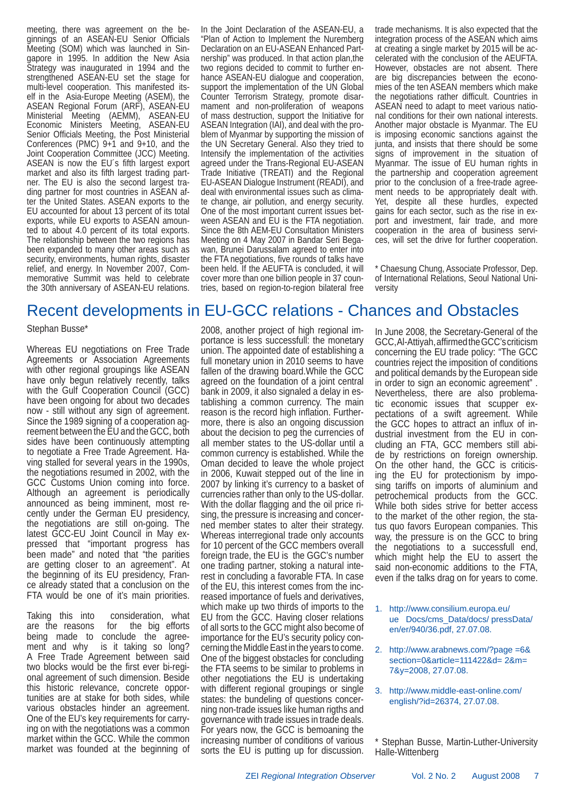meeting, there was agreement on the beginnings of an ASEAN-EU Senior Officials Meeting (SOM) which was launched in Singapore in 1995. In addition the New Asia Strategy was inaugurated in 1994 and the strengthened ASEAN-EU set the stage for multi-level cooperation. This manifested itself in the Asia-Europe Meeting (ASEM), the ASEAN Regional Forum (ARF), ASEAN-EU Ministerial Meeting (AEMM), ASEAN-EU Economic Ministers Meeting, ASEAN-EU Senior Officials Meeting, the Post Ministerial Conferences (PMC) 9+1 and 9+10, and the Joint Cooperation Committee (JCC) Meeting. ASEAN is now the EU's fifth largest export market and also its fifth largest trading partner. The EU is also the second largest trading partner for most countries in ASEAN after the United States. ASEAN exports to the EU accounted for about 13 percent of its total exports, while EU exports to ASEAN amounted to about 4.0 percent of its total exports. The relationship between the two regions has been expanded to many other areas such as security, environments, human rights, disaster relief, and energy. In November 2007, Commemorative Summit was held to celebrate the 30th anniversary of ASEAN-EU relations.

In the Joint Declaration of the ASEAN-EU, a "Plan of Action to Implement the Nuremberg Declaration on an EU-ASEAN Enhanced Partnership" was produced. In that action plan,the two regions decided to commit to further enhance ASEAN-EU dialogue and cooperation, support the implementation of the UN Global Counter Terrorism Strategy, promote disarmament and non-proliferation of weapons of mass destruction, support the Initiative for ASEAN Integration (IAI), and deal with the problem of Myanmar by supporting the mission of the UN Secretary General. Also they tried to Intensify the implementation of the activities agreed under the Trans-Regional EU-ASEAN Trade Initiative (TREATI) and the Regional EU-ASEAN Dialogue Instrument (READI), and deal with environmental issues such as climate change, air pollution, and energy security. One of the most important current issues between ASEAN and EU is the FTA negotiation. Since the 8th AEM-EU Consultation Ministers Meeting on 4 May 2007 in Bandar Seri Begawan, Brunei Darussalam agreed to enter into the FTA negotiations, five rounds of talks have been held. If the AEUFTA is concluded, it will cover more than one billion people in 37 countries, based on region-to-region bilateral free trade mechanisms. It is also expected that the integration process of the ASEAN which aims at creating a single market by 2015 will be accelerated with the conclusion of the AEUFTA. However, obstacles are not absent. There are big discrepancies between the economies of the ten ASEAN members which make the negotiations rather difficult. Countries in ASEAN need to adapt to meet various national conditions for their own national interests. Another major obstacle is Myanmar. The EU is imposing economic sanctions against the junta, and insists that there should be some signs of improvement in the situation of Myanmar. The issue of EU human rights in the partnership and cooperation agreement prior to the conclusion of a free-trade agreement needs to be appropriately dealt with. Yet, despite all these hurdles, expected gains for each sector, such as the rise in export and investment, fair trade, and more cooperation in the area of business services, will set the drive for further cooperation.

\* Chaesung Chung, Associate Professor, Dep. of International Relations, Seoul National University

## Recent developments in EU-GCC relations - Chances and Obstacles

#### Stephan Busse\*

Whereas EU negotiations on Free Trade Agreements or Association Agreements with other regional groupings like ASEAN have only begun relatively recently, talks with the Gulf Cooperation Council (GCC) have been ongoing for about two decades now - still without any sign of agreement. Since the 1989 signing of a cooperation agreement between the EU and the GCC, both sides have been continuously attempting to negotiate a Free Trade Agreement. Having stalled for several years in the 1990s, the negotiations resumed in 2002, with the GCC Customs Union coming into force. Although an agreement is periodically announced as being imminent, most recently under the German EU presidency, the negotiations are still on-going. The latest GCC-EU Joint Council in May expressed that "important progress has been made" and noted that "the parities are getting closer to an agreement". At the beginning of its EU presidency, France already stated that a conclusion on the FTA would be one of it's main priorities.

Taking this into consideration, what are the reasons for the big efforts being made to conclude the agreement and why is it taking so long? A Free Trade Agreement between said two blocks would be the first ever bi-regional agreement of such dimension. Beside this historic relevance, concrete opportunities are at stake for both sides, while various obstacles hinder an agreement. One of the EU's key requirements for carrying on with the negotiations was a common market within the GCC. While the common market was founded at the beginning of 2008, another project of high regional importance is less successfull: the monetary union. The appointed date of establishing a full monetary union in 2010 seems to have fallen of the drawing board.While the GCC agreed on the foundation of a joint central bank in 2009, it also signaled a delay in establishing a common currency. The main reason is the record high inflation. Furthermore, there is also an ongoing discussion about the decision to peg the currencies of all member states to the US-dollar until a common currency is established. While the Oman decided to leave the whole project in 2006, Kuwait stepped out of the line in 2007 by linking it's currency to a basket of currencies rather than only to the US-dollar. With the dollar flagging and the oil price rising, the pressure is increasing and concerned member states to alter their strategy. Whereas interregional trade only accounts for 10 percent of the GCC members overall foreign trade, the EU is the GGC's number one trading partner, stoking a natural interest in concluding a favorable FTA. In case of the EU, this interest comes from the increased importance of fuels and derivatives, which make up two thirds of imports to the EU from the GCC. Having closer relations of all sorts to the GCC might also become of importance for the EU's security policy concerning the Middle East in the years to come. One of the biggest obstacles for concluding the FTA seems to be similar to problems in other negotiations the EU is undertaking with different regional groupings or single states: the bundeling of questions concerning non-trade issues like human rigths and governance with trade issues in trade deals. For years now, the GCC is bemoaning the increasing number of conditions of various sorts the EU is putting up for discussion.

In June 2008, the Secretary-General of the GCC, Al-Attiyah, affirmed the GCC's criticism concerning the EU trade policy: "The GCC countries reject the imposition of conditions and political demands by the European side in order to sign an economic agreement" . Nevertheless, there are also problematic economic issues that scupper expectations of a swift agreement. While the GCC hopes to attract an influx of industrial investment from the EU in concluding an FTA, GCC members still abide by restrictions on foreign ownership. On the other hand, the GCC is criticising the EU for protectionism by imposing tariffs on imports of aluminium and petrochemical products from the GCC. While both sides strive for better access to the market of the other region, the status quo favors European companies. This way, the pressure is on the GCC to bring the negotiations to a successfull end, which might help the EU to assert the said non-economic additions to the FTA, even if the talks drag on for years to come.

- 1. http://www.consilium.europa.eu/ ue Docs/cms\_Data/docs/ pressData/ en/er/940/36.pdf, 27.07.08.
- 2. http://www.arabnews.com/?page =6& section=0&article=111422&d= 2&m= 7&y=2008, 27.07.08.
- 3. http://www.middle-east-online.com/ english/?id=26374, 27.07.08.

\* Stephan Busse, Martin-Luther-University Halle-Wittenberg